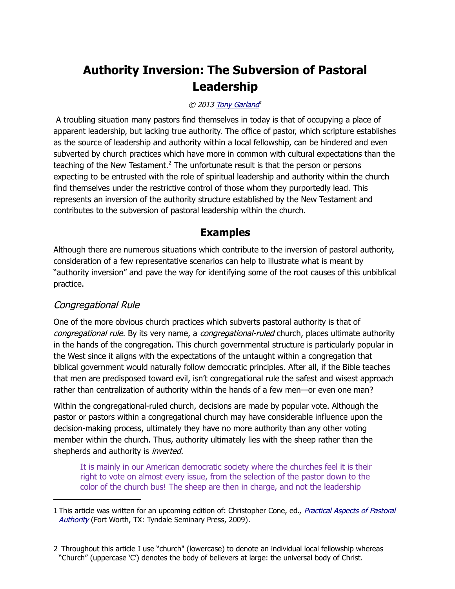# **Authority Inversion: The Subversion of Pastoral Leadership**

#### © 2013 [Tony Garland](http://www.spiritandtruth.org/id/tg.htm)<sup>1</sup>

 A troubling situation many pastors find themselves in today is that of occupying a place of apparent leadership, but lacking true authority. The office of pastor, which scripture establishes as the source of leadership and authority within a local fellowship, can be hindered and even subverted by church practices which have more in common with cultural expectations than the teaching of the New Testament.<sup>[2](#page-0-1)</sup> The unfortunate result is that the person or persons expecting to be entrusted with the role of spiritual leadership and authority within the church find themselves under the restrictive control of those whom they purportedly lead. This represents an inversion of the authority structure established by the New Testament and contributes to the subversion of pastoral leadership within the church.

# **Examples**

Although there are numerous situations which contribute to the inversion of pastoral authority, consideration of a few representative scenarios can help to illustrate what is meant by "authority inversion" and pave the way for identifying some of the root causes of this unbiblical practice.

# Congregational Rule

One of the more obvious church practices which subverts pastoral authority is that of congregational rule. By its very name, a congregational-ruled church, places ultimate authority in the hands of the congregation. This church governmental structure is particularly popular in the West since it aligns with the expectations of the untaught within a congregation that biblical government would naturally follow democratic principles. After all, if the Bible teaches that men are predisposed toward evil, isn't congregational rule the safest and wisest approach rather than centralization of authority within the hands of a few men—or even one man?

Within the congregational-ruled church, decisions are made by popular vote. Although the pastor or pastors within a congregational church may have considerable influence upon the decision-making process, ultimately they have no more authority than any other voting member within the church. Thus, authority ultimately lies with the sheep rather than the shepherds and authority is *inverted*.

It is mainly in our American democratic society where the churches feel it is their right to vote on almost every issue, from the selection of the pastor down to the color of the church bus! The sheep are then in charge, and not the leadership

<span id="page-0-0"></span><sup>1</sup> This article was written for an upcoming edition of: Christopher Cone, ed., Practical Aspects of Pastoral [Authority](http://www.spiritandtruth.org/id/isbn.htm?0981479154) (Fort Worth, TX: Tyndale Seminary Press, 2009).

<span id="page-0-1"></span><sup>2</sup> Throughout this article I use "church" (lowercase) to denote an individual local fellowship whereas "Church" (uppercase 'C') denotes the body of believers at large: the universal body of Christ.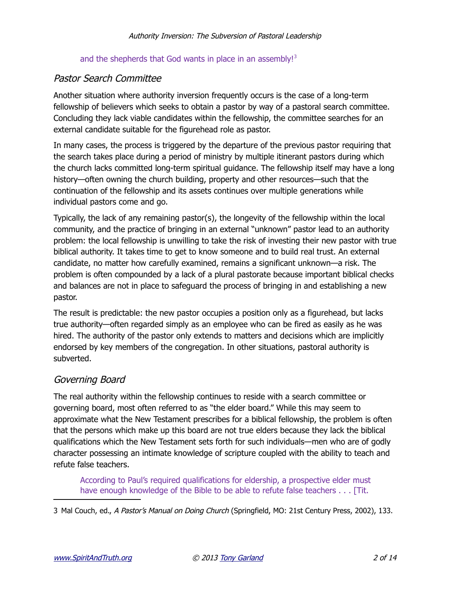#### and the shepherds that God wants in place in an assembly!<sup>[3](#page-1-0)</sup>

## Pastor Search Committee

Another situation where authority inversion frequently occurs is the case of a long-term fellowship of believers which seeks to obtain a pastor by way of a pastoral search committee. Concluding they lack viable candidates within the fellowship, the committee searches for an external candidate suitable for the figurehead role as pastor.

In many cases, the process is triggered by the departure of the previous pastor requiring that the search takes place during a period of ministry by multiple itinerant pastors during which the church lacks committed long-term spiritual guidance. The fellowship itself may have a long history—often owning the church building, property and other resources—such that the continuation of the fellowship and its assets continues over multiple generations while individual pastors come and go.

Typically, the lack of any remaining pastor(s), the longevity of the fellowship within the local community, and the practice of bringing in an external "unknown" pastor lead to an authority problem: the local fellowship is unwilling to take the risk of investing their new pastor with true biblical authority. It takes time to get to know someone and to build real trust. An external candidate, no matter how carefully examined, remains a significant unknown—a risk. The problem is often compounded by a lack of a plural pastorate because important biblical checks and balances are not in place to safeguard the process of bringing in and establishing a new pastor.

The result is predictable: the new pastor occupies a position only as a figurehead, but lacks true authority—often regarded simply as an employee who can be fired as easily as he was hired. The authority of the pastor only extends to matters and decisions which are implicitly endorsed by key members of the congregation. In other situations, pastoral authority is subverted.

# Governing Board

The real authority within the fellowship continues to reside with a search committee or governing board, most often referred to as "the elder board." While this may seem to approximate what the New Testament prescribes for a biblical fellowship, the problem is often that the persons which make up this board are not true elders because they lack the biblical qualifications which the New Testament sets forth for such individuals—men who are of godly character possessing an intimate knowledge of scripture coupled with the ability to teach and refute false teachers.

According to Paul's required qualifications for eldership, a prospective elder must have enough knowledge of the Bible to be able to refute false teachers . . . [Tit.

<span id="page-1-0"></span>3 Mal Couch, ed., A Pastor's Manual on Doing Church (Springfield, MO: 21st Century Press, 2002), 133.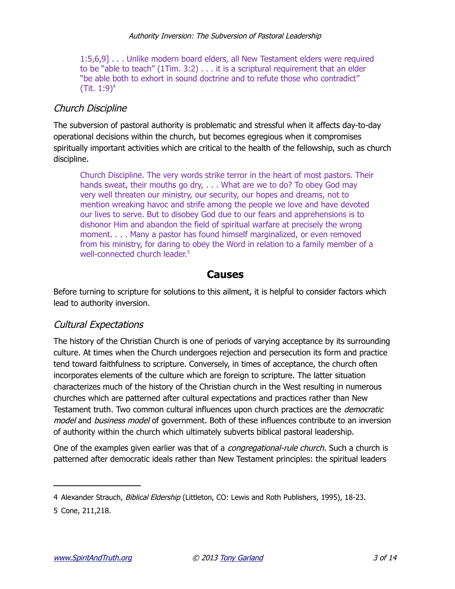1:5,6,9] . . . Unlike modern board elders, all New Testament elders were required to be "able to teach"  $(1$ Tim.  $3:2)$ ... it is a scriptural requirement that an elder "be able both to exhort in sound doctrine and to refute those who contradict" (Tit.  $1:9)^4$  $1:9)^4$ )

## Church Discipline

The subversion of pastoral authority is problematic and stressful when it affects day-to-day operational decisions within the church, but becomes egregious when it compromises spiritually important activities which are critical to the health of the fellowship, such as church discipline.

Church Discipline. The very words strike terror in the heart of most pastors. Their hands sweat, their mouths go dry, . . . What are we to do? To obey God may very well threaten our ministry, our security, our hopes and dreams, not to mention wreaking havoc and strife among the people we love and have devoted our lives to serve. But to disobey God due to our fears and apprehensions is to dishonor Him and abandon the field of spiritual warfare at precisely the wrong moment. . . . Many a pastor has found himself marginalized, or even removed from his ministry, for daring to obey the Word in relation to a family member of a well-connected church leader.<sup>[5](#page-2-1)</sup>

#### **Causes**

Before turning to scripture for solutions to this ailment, it is helpful to consider factors which lead to authority inversion.

#### Cultural Expectations

The history of the Christian Church is one of periods of varying acceptance by its surrounding culture. At times when the Church undergoes rejection and persecution its form and practice tend toward faithfulness to scripture. Conversely, in times of acceptance, the church often incorporates elements of the culture which are foreign to scripture. The latter situation characterizes much of the history of the Christian church in the West resulting in numerous churches which are patterned after cultural expectations and practices rather than New Testament truth. Two common cultural influences upon church practices are the *democratic* model and business model of government. Both of these influences contribute to an inversion of authority within the church which ultimately subverts biblical pastoral leadership.

One of the examples given earlier was that of a *congregational-rule church*. Such a church is patterned after democratic ideals rather than New Testament principles: the spiritual leaders

<span id="page-2-0"></span><sup>4</sup> Alexander Strauch, Biblical Eldership (Littleton, CO: Lewis and Roth Publishers, 1995), 18-23.

<span id="page-2-1"></span><sup>5</sup> Cone, 211,218.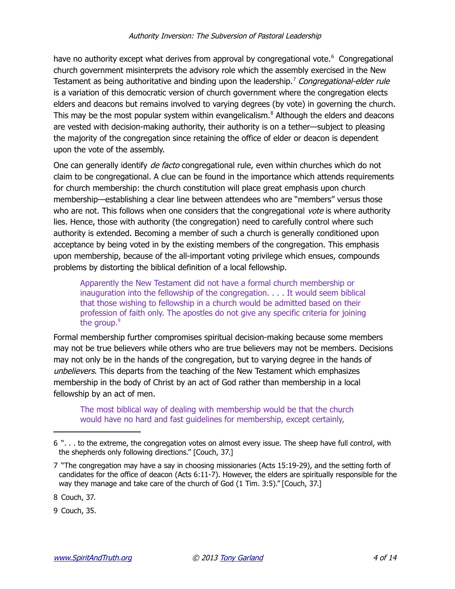have no authority except what derives from approval by congregational vote.<sup>[6](#page-3-0)</sup> Congregational church government misinterprets the advisory role which the assembly exercised in the New Testament as being authoritative and binding upon the leadership.<sup>[7](#page-3-1)</sup> Congregational-elder rule is a variation of this democratic version of church government where the congregation elects elders and deacons but remains involved to varying degrees (by vote) in governing the church. This may be the most popular system within evangelicalism.<sup>[8](#page-3-2)</sup> Although the elders and deacons are vested with decision-making authority, their authority is on a tether—subject to pleasing the majority of the congregation since retaining the office of elder or deacon is dependent upon the vote of the assembly.

One can generally identify *de facto* congregational rule, even within churches which do not claim to be congregational. A clue can be found in the importance which attends requirements for church membership: the church constitution will place great emphasis upon church membership—establishing a clear line between attendees who are "members" versus those who are not. This follows when one considers that the congregational vote is where authority lies. Hence, those with authority (the congregation) need to carefully control where such authority is extended. Becoming a member of such a church is generally conditioned upon acceptance by being voted in by the existing members of the congregation. This emphasis upon membership, because of the all-important voting privilege which ensues, compounds problems by distorting the biblical definition of a local fellowship.

Apparently the New Testament did not have a formal church membership or inauguration into the fellowship of the congregation. . . . It would seem biblical that those wishing to fellowship in a church would be admitted based on their profession of faith only. The apostles do not give any specific criteria for joining the group.<sup>[9](#page-3-3)</sup>

Formal membership further compromises spiritual decision-making because some members may not be true believers while others who are true believers may not be members. Decisions may not only be in the hands of the congregation, but to varying degree in the hands of unbelievers. This departs from the teaching of the New Testament which emphasizes membership in the body of Christ by an act of God rather than membership in a local fellowship by an act of men.

The most biblical way of dealing with membership would be that the church would have no hard and fast guidelines for membership, except certainly,

<span id="page-3-2"></span>8 Couch, 37.

<span id="page-3-3"></span>9 Couch, 35.

<span id="page-3-0"></span><sup>6 &</sup>quot;. . . to the extreme, the congregation votes on almost every issue. The sheep have full control, with the shepherds only following directions." [Couch, 37.]

<span id="page-3-1"></span><sup>7 &</sup>quot;The congregation may have a say in choosing missionaries (Acts 15:19-29), and the setting forth of candidates for the office of deacon (Acts 6:11-7). However, the elders are spiritually responsible for the way they manage and take care of the church of God (1 Tim. 3:5)." [Couch, 37.]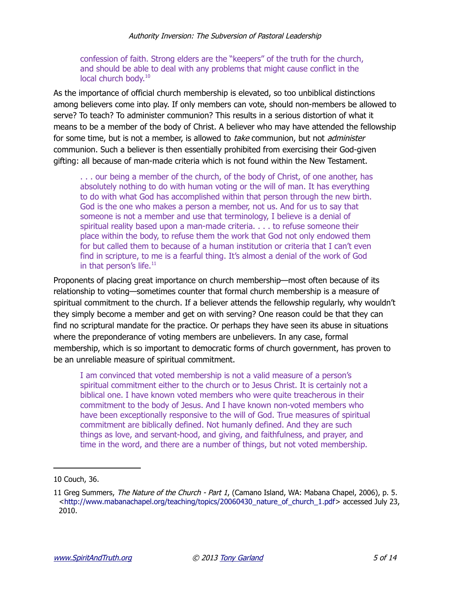#### confession of faith. Strong elders are the "keepers" of the truth for the church, and should be able to deal with any problems that might cause conflict in the local church body.<sup>[10](#page-4-0)</sup>

As the importance of official church membership is elevated, so too unbiblical distinctions among believers come into play. If only members can vote, should non-members be allowed to serve? To teach? To administer communion? This results in a serious distortion of what it means to be a member of the body of Christ. A believer who may have attended the fellowship for some time, but is not a member, is allowed to take communion, but not administer communion. Such a believer is then essentially prohibited from exercising their God-given gifting: all because of man-made criteria which is not found within the New Testament.

. . . our being a member of the church, of the body of Christ, of one another, has absolutely nothing to do with human voting or the will of man. It has everything to do with what God has accomplished within that person through the new birth. God is the one who makes a person a member, not us. And for us to say that someone is not a member and use that terminology, I believe is a denial of spiritual reality based upon a man-made criteria. . . . to refuse someone their place within the body, to refuse them the work that God not only endowed them for but called them to because of a human institution or criteria that I can't even find in scripture, to me is a fearful thing. It's almost a denial of the work of God in that person's life. $11$ 

Proponents of placing great importance on church membership—most often because of its relationship to voting—sometimes counter that formal church membership is a measure of spiritual commitment to the church. If a believer attends the fellowship regularly, why wouldn't they simply become a member and get on with serving? One reason could be that they can find no scriptural mandate for the practice. Or perhaps they have seen its abuse in situations where the preponderance of voting members are unbelievers. In any case, formal membership, which is so important to democratic forms of church government, has proven to be an unreliable measure of spiritual commitment.

I am convinced that voted membership is not a valid measure of a person's spiritual commitment either to the church or to Jesus Christ. It is certainly not a biblical one. I have known voted members who were quite treacherous in their commitment to the body of Jesus. And I have known non-voted members who have been exceptionally responsive to the will of God. True measures of spiritual commitment are biblically defined. Not humanly defined. And they are such things as love, and servant-hood, and giving, and faithfulness, and prayer, and time in the word, and there are a number of things, but not voted membership.

<span id="page-4-0"></span><sup>10</sup> Couch, 36.

<span id="page-4-1"></span><sup>11</sup> Greg Summers, The Nature of the Church - Part 1, (Camano Island, WA: Mabana Chapel, 2006), p. 5. [<http://www.mabanachapel.org/teaching/topics/20060430\\_nature\\_of\\_church\\_1.pdf>](http://www.mabanachapel.org/teaching/topics/20060430_nature_of_church_1.pdf) accessed July 23, 2010.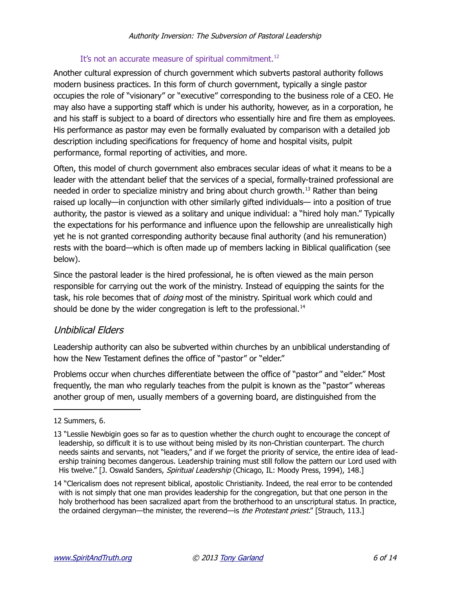#### It's not an accurate measure of spiritual commitment.<sup>[12](#page-5-0)</sup>

Another cultural expression of church government which subverts pastoral authority follows modern business practices. In this form of church government, typically a single pastor occupies the role of "visionary" or "executive" corresponding to the business role of a CEO. He may also have a supporting staff which is under his authority, however, as in a corporation, he and his staff is subject to a board of directors who essentially hire and fire them as employees. His performance as pastor may even be formally evaluated by comparison with a detailed job description including specifications for frequency of home and hospital visits, pulpit performance, formal reporting of activities, and more.

Often, this model of church government also embraces secular ideas of what it means to be a leader with the attendant belief that the services of a special, formally-trained professional are needed in order to specialize ministry and bring about church growth.<sup>[13](#page-5-1)</sup> Rather than being raised up locally—in conjunction with other similarly gifted individuals— into a position of true authority, the pastor is viewed as a solitary and unique individual: a "hired holy man." Typically the expectations for his performance and influence upon the fellowship are unrealistically high yet he is not granted corresponding authority because final authority (and his remuneration) rests with the board—which is often made up of members lacking in Biblical qualification (see below).

Since the pastoral leader is the hired professional, he is often viewed as the main person responsible for carrying out the work of the ministry. Instead of equipping the saints for the task, his role becomes that of *doing* most of the ministry. Spiritual work which could and should be done by the wider congregation is left to the professional.<sup>[14](#page-5-2)</sup>

## Unbiblical Elders

Leadership authority can also be subverted within churches by an unbiblical understanding of how the New Testament defines the office of "pastor" or "elder."

Problems occur when churches differentiate between the office of "pastor" and "elder." Most frequently, the man who regularly teaches from the pulpit is known as the "pastor" whereas another group of men, usually members of a governing board, are distinguished from the

<span id="page-5-0"></span><sup>12</sup> Summers, 6.

<span id="page-5-1"></span><sup>13 &</sup>quot;Lesslie Newbigin goes so far as to question whether the church ought to encourage the concept of leadership, so difficult it is to use without being misled by its non-Christian counterpart. The church needs saints and servants, not "leaders," and if we forget the priority of service, the entire idea of leadership training becomes dangerous. Leadership training must still follow the pattern our Lord used with His twelve." [J. Oswald Sanders, Spiritual Leadership (Chicago, IL: Moody Press, 1994), 148.]

<span id="page-5-2"></span><sup>14 &</sup>quot;Clericalism does not represent biblical, apostolic Christianity. Indeed, the real error to be contended with is not simply that one man provides leadership for the congregation, but that one person in the holy brotherhood has been sacralized apart from the brotherhood to an unscriptural status. In practice, the ordained clergyman—the minister, the reverend—is the Protestant priest." [Strauch, 113.]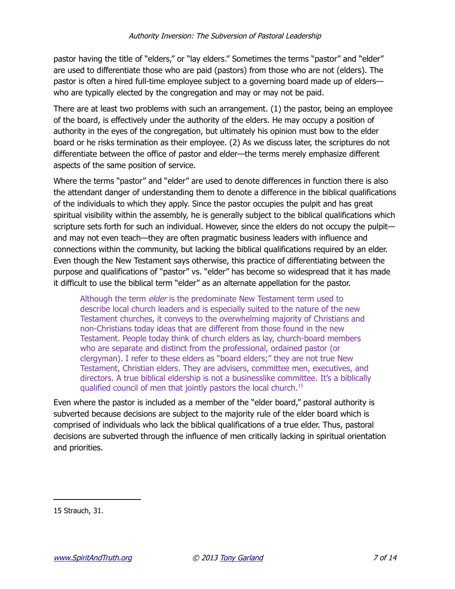pastor having the title of "elders," or "lay elders." Sometimes the terms "pastor" and "elder" are used to differentiate those who are paid (pastors) from those who are not (elders). The pastor is often a hired full-time employee subject to a governing board made up of elders who are typically elected by the congregation and may or may not be paid.

There are at least two problems with such an arrangement. (1) the pastor, being an employee of the board, is effectively under the authority of the elders. He may occupy a position of authority in the eyes of the congregation, but ultimately his opinion must bow to the elder board or he risks termination as their employee. (2) As we discuss later, the scriptures do not differentiate between the office of pastor and elder—the terms merely emphasize different aspects of the same position of service.

Where the terms "pastor" and "elder" are used to denote differences in function there is also the attendant danger of understanding them to denote a difference in the biblical qualifications of the individuals to which they apply. Since the pastor occupies the pulpit and has great spiritual visibility within the assembly, he is generally subject to the biblical qualifications which scripture sets forth for such an individual. However, since the elders do not occupy the pulpit and may not even teach—they are often pragmatic business leaders with influence and connections within the community, but lacking the biblical qualifications required by an elder. Even though the New Testament says otherwise, this practice of differentiating between the purpose and qualifications of "pastor" vs. "elder" has become so widespread that it has made it difficult to use the biblical term "elder" as an alternate appellation for the pastor.

Although the term *elder* is the predominate New Testament term used to describe local church leaders and is especially suited to the nature of the new Testament churches, it conveys to the overwhelming majority of Christians and non-Christians today ideas that are different from those found in the new Testament. People today think of church elders as lay, church-board members who are separate and distinct from the professional, ordained pastor (or clergyman). I refer to these elders as "board elders;" they are not true New Testament, Christian elders. They are advisers, committee men, executives, and directors. A true biblical eldership is not a businesslike committee. It's a biblically qualified council of men that jointly pastors the local church.[15](#page-6-0)

Even where the pastor is included as a member of the "elder board," pastoral authority is subverted because decisions are subject to the majority rule of the elder board which is comprised of individuals who lack the biblical qualifications of a true elder. Thus, pastoral decisions are subverted through the influence of men critically lacking in spiritual orientation and priorities.

<span id="page-6-0"></span>15 Strauch, 31.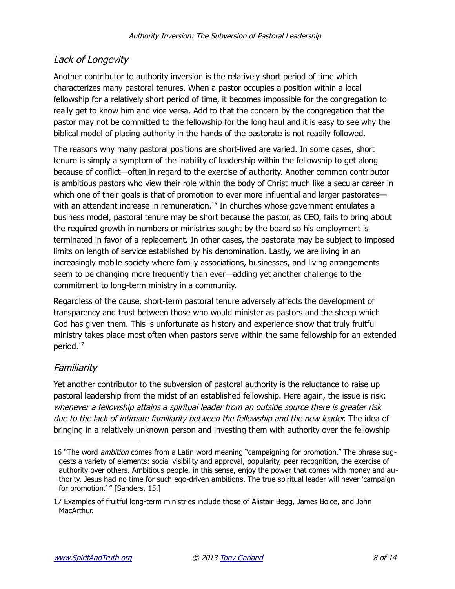# Lack of Longevity

Another contributor to authority inversion is the relatively short period of time which characterizes many pastoral tenures. When a pastor occupies a position within a local fellowship for a relatively short period of time, it becomes impossible for the congregation to really get to know him and vice versa. Add to that the concern by the congregation that the pastor may not be committed to the fellowship for the long haul and it is easy to see why the biblical model of placing authority in the hands of the pastorate is not readily followed.

The reasons why many pastoral positions are short-lived are varied. In some cases, short tenure is simply a symptom of the inability of leadership within the fellowship to get along because of conflict—often in regard to the exercise of authority. Another common contributor is ambitious pastors who view their role within the body of Christ much like a secular career in which one of their goals is that of promotion to ever more influential and larger pastorates— with an attendant increase in remuneration.<sup>[16](#page-7-0)</sup> In churches whose government emulates a business model, pastoral tenure may be short because the pastor, as CEO, fails to bring about the required growth in numbers or ministries sought by the board so his employment is terminated in favor of a replacement. In other cases, the pastorate may be subject to imposed limits on length of service established by his denomination. Lastly, we are living in an increasingly mobile society where family associations, businesses, and living arrangements seem to be changing more frequently than ever—adding yet another challenge to the commitment to long-term ministry in a community.

Regardless of the cause, short-term pastoral tenure adversely affects the development of transparency and trust between those who would minister as pastors and the sheep which God has given them. This is unfortunate as history and experience show that truly fruitful ministry takes place most often when pastors serve within the same fellowship for an extended period.[17](#page-7-1)

# Familiarity

Yet another contributor to the subversion of pastoral authority is the reluctance to raise up pastoral leadership from the midst of an established fellowship. Here again, the issue is risk: whenever a fellowship attains a spiritual leader from an outside source there is greater risk due to the lack of intimate familiarity between the fellowship and the new leader. The idea of bringing in a relatively unknown person and investing them with authority over the fellowship

<span id="page-7-0"></span><sup>16 &</sup>quot;The word *ambition* comes from a Latin word meaning "campaigning for promotion." The phrase suggests a variety of elements: social visibility and approval, popularity, peer recognition, the exercise of authority over others. Ambitious people, in this sense, enjoy the power that comes with money and authority. Jesus had no time for such ego-driven ambitions. The true spiritual leader will never 'campaign for promotion.' " [Sanders, 15.]

<span id="page-7-1"></span><sup>17</sup> Examples of fruitful long-term ministries include those of Alistair Begg, James Boice, and John MacArthur.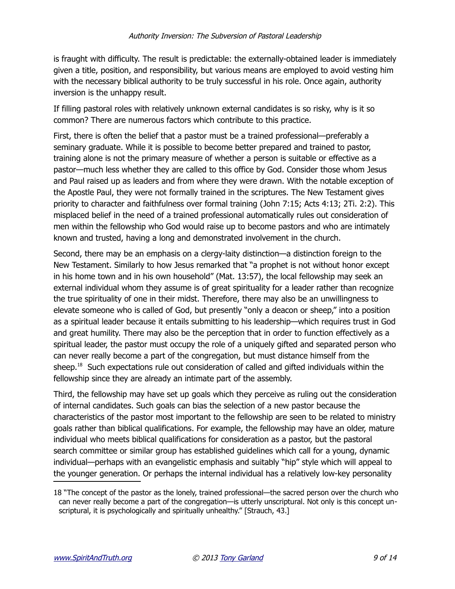is fraught with difficulty. The result is predictable: the externally-obtained leader is immediately given a title, position, and responsibility, but various means are employed to avoid vesting him with the necessary biblical authority to be truly successful in his role. Once again, authority inversion is the unhappy result.

If filling pastoral roles with relatively unknown external candidates is so risky, why is it so common? There are numerous factors which contribute to this practice.

First, there is often the belief that a pastor must be a trained professional—preferably a seminary graduate. While it is possible to become better prepared and trained to pastor, training alone is not the primary measure of whether a person is suitable or effective as a pastor—much less whether they are called to this office by God. Consider those whom Jesus and Paul raised up as leaders and from where they were drawn. With the notable exception of the Apostle Paul, they were not formally trained in the scriptures. The New Testament gives priority to character and faithfulness over formal training (John 7:15; Acts 4:13; 2Ti. 2:2). This misplaced belief in the need of a trained professional automatically rules out consideration of men within the fellowship who God would raise up to become pastors and who are intimately known and trusted, having a long and demonstrated involvement in the church.

Second, there may be an emphasis on a clergy-laity distinction—a distinction foreign to the New Testament. Similarly to how Jesus remarked that "a prophet is not without honor except in his home town and in his own household" (Mat. 13:57), the local fellowship may seek an external individual whom they assume is of great spirituality for a leader rather than recognize the true spirituality of one in their midst. Therefore, there may also be an unwillingness to elevate someone who is called of God, but presently "only a deacon or sheep," into a position as a spiritual leader because it entails submitting to his leadership—which requires trust in God and great humility. There may also be the perception that in order to function effectively as a spiritual leader, the pastor must occupy the role of a uniquely gifted and separated person who can never really become a part of the congregation, but must distance himself from the sheep.<sup>[18](#page-8-0)</sup> Such expectations rule out consideration of called and gifted individuals within the fellowship since they are already an intimate part of the assembly.

Third, the fellowship may have set up goals which they perceive as ruling out the consideration of internal candidates. Such goals can bias the selection of a new pastor because the characteristics of the pastor most important to the fellowship are seen to be related to ministry goals rather than biblical qualifications. For example, the fellowship may have an older, mature individual who meets biblical qualifications for consideration as a pastor, but the pastoral search committee or similar group has established guidelines which call for a young, dynamic individual—perhaps with an evangelistic emphasis and suitably "hip" style which will appeal to the younger generation. Or perhaps the internal individual has a relatively low-key personality

<span id="page-8-0"></span><sup>18 &</sup>quot;The concept of the pastor as the lonely, trained professional—the sacred person over the church who can never really become a part of the congregation—is utterly unscriptural. Not only is this concept unscriptural, it is psychologically and spiritually unhealthy." [Strauch, 43.]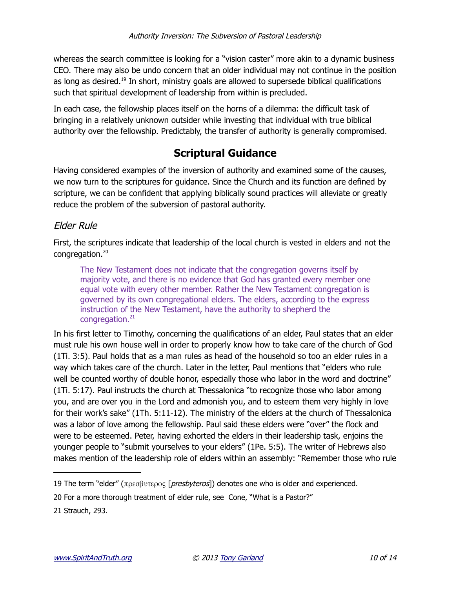whereas the search committee is looking for a "vision caster" more akin to a dynamic business CEO. There may also be undo concern that an older individual may not continue in the position as long as desired.<sup>[19](#page-9-0)</sup> In short, ministry goals are allowed to supersede biblical qualifications such that spiritual development of leadership from within is precluded.

In each case, the fellowship places itself on the horns of a dilemma: the difficult task of bringing in a relatively unknown outsider while investing that individual with true biblical authority over the fellowship. Predictably, the transfer of authority is generally compromised.

# **Scriptural Guidance**

Having considered examples of the inversion of authority and examined some of the causes, we now turn to the scriptures for guidance. Since the Church and its function are defined by scripture, we can be confident that applying biblically sound practices will alleviate or greatly reduce the problem of the subversion of pastoral authority.

## Elder Rule

First, the scriptures indicate that leadership of the local church is vested in elders and not the congregation.[20](#page-9-1)

The New Testament does not indicate that the congregation governs itself by majority vote, and there is no evidence that God has granted every member one equal vote with every other member. Rather the New Testament congregation is governed by its own congregational elders. The elders, according to the express instruction of the New Testament, have the authority to shepherd the congregation.<sup>[21](#page-9-2)</sup>

In his first letter to Timothy, concerning the qualifications of an elder, Paul states that an elder must rule his own house well in order to properly know how to take care of the church of God (1Ti. 3:5). Paul holds that as a man rules as head of the household so too an elder rules in a way which takes care of the church. Later in the letter, Paul mentions that "elders who rule well be counted worthy of double honor, especially those who labor in the word and doctrine" (1Ti. 5:17). Paul instructs the church at Thessalonica "to recognize those who labor among you, and are over you in the Lord and admonish you, and to esteem them very highly in love for their work's sake" (1Th. 5:11-12). The ministry of the elders at the church of Thessalonica was a labor of love among the fellowship. Paul said these elders were "over" the flock and were to be esteemed. Peter, having exhorted the elders in their leadership task, enjoins the younger people to "submit yourselves to your elders" (1Pe. 5:5). The writer of Hebrews also makes mention of the leadership role of elders within an assembly: "Remember those who rule

<span id="page-9-0"></span><sup>19</sup> The term "elder" (πρεσβυτερος [presbyteros]) denotes one who is older and experienced.

<span id="page-9-1"></span><sup>20</sup> For a more thorough treatment of elder rule, see Cone, "What is a Pastor?"

<span id="page-9-2"></span><sup>21</sup> Strauch, 293.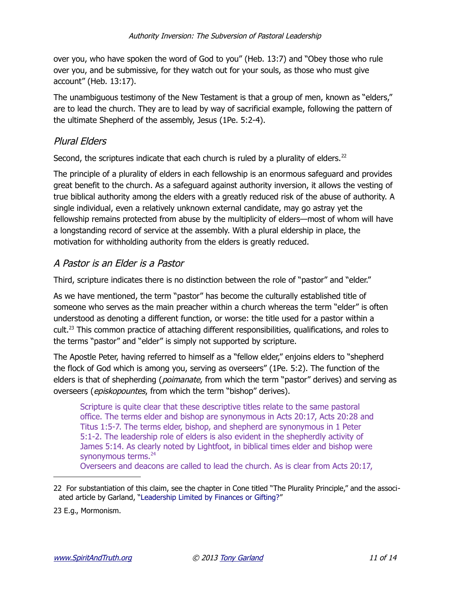over you, who have spoken the word of God to you" (Heb. 13:7) and "Obey those who rule over you, and be submissive, for they watch out for your souls, as those who must give account" (Heb. 13:17).

The unambiguous testimony of the New Testament is that a group of men, known as "elders," are to lead the church. They are to lead by way of sacrificial example, following the pattern of the ultimate Shepherd of the assembly, Jesus (1Pe. 5:2-4).

## Plural Elders

Second, the scriptures indicate that each church is ruled by a plurality of elders. $^{22}$  $^{22}$  $^{22}$ 

The principle of a plurality of elders in each fellowship is an enormous safeguard and provides great benefit to the church. As a safeguard against authority inversion, it allows the vesting of true biblical authority among the elders with a greatly reduced risk of the abuse of authority. A single individual, even a relatively unknown external candidate, may go astray yet the fellowship remains protected from abuse by the multiplicity of elders—most of whom will have a longstanding record of service at the assembly. With a plural eldership in place, the motivation for withholding authority from the elders is greatly reduced.

#### A Pastor is an Elder is a Pastor

Third, scripture indicates there is no distinction between the role of "pastor" and "elder."

As we have mentioned, the term "pastor" has become the culturally established title of someone who serves as the main preacher within a church whereas the term "elder" is often understood as denoting a different function, or worse: the title used for a pastor within a cult.<sup>[23](#page-10-1)</sup> This common practice of attaching different responsibilities, qualifications, and roles to the terms "pastor" and "elder" is simply not supported by scripture.

The Apostle Peter, having referred to himself as a "fellow elder," enjoins elders to "shepherd the flock of God which is among you, serving as overseers" (1Pe. 5:2). The function of the elders is that of shepherding (*poimanate*, from which the term "pastor" derives) and serving as overseers (*episkopountes*, from which the term "bishop" derives).

Scripture is quite clear that these descriptive titles relate to the same pastoral office. The terms elder and bishop are synonymous in Acts 20:17, Acts 20:28 and Titus 1:5-7. The terms elder, bishop, and shepherd are synonymous in 1 Peter 5:1-2. The leadership role of elders is also evident in the shepherdly activity of James 5:14. As clearly noted by Lightfoot, in biblical times elder and bishop were synonymous terms.<sup>24</sup>

Overseers and deacons are called to lead the church. As is clear from Acts 20:17,

<span id="page-10-0"></span><sup>22</sup> For substantiation of this claim, see the chapter in Cone titled "The Plurality Principle," and the associated article by Garland, ["Leadership Limited by Finances or Gifting?"](http://www.spiritandtruth.org/id/article.htm#158)

<span id="page-10-1"></span><sup>23</sup> E.g., Mormonism.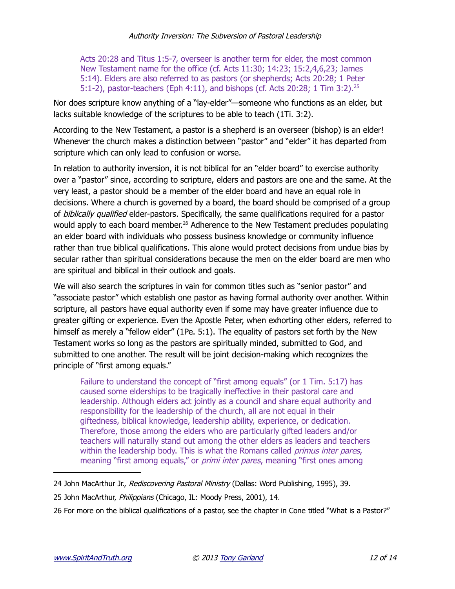Acts 20:28 and Titus 1:5-7, overseer is another term for elder, the most common New Testament name for the office (cf. Acts 11:30; 14:23; 15:2,4,6,23; James 5:14). Elders are also referred to as pastors (or shepherds; Acts 20:28; 1 Peter 5:1-2), pastor-teachers (Eph 4:11), and bishops (cf. Acts 20:28; 1 Tim 3:2).<sup>[25](#page-11-0)</sup>

Nor does scripture know anything of a "lay-elder"—someone who functions as an elder, but lacks suitable knowledge of the scriptures to be able to teach (1Ti. 3:2).

According to the New Testament, a pastor is a shepherd is an overseer (bishop) is an elder! Whenever the church makes a distinction between "pastor" and "elder" it has departed from scripture which can only lead to confusion or worse.

In relation to authority inversion, it is not biblical for an "elder board" to exercise authority over a "pastor" since, according to scripture, elders and pastors are one and the same. At the very least, a pastor should be a member of the elder board and have an equal role in decisions. Where a church is governed by a board, the board should be comprised of a group of biblically qualified elder-pastors. Specifically, the same qualifications required for a pastor would apply to each board member.<sup>[26](#page-11-1)</sup> Adherence to the New Testament precludes populating an elder board with individuals who possess business knowledge or community influence rather than true biblical qualifications. This alone would protect decisions from undue bias by secular rather than spiritual considerations because the men on the elder board are men who are spiritual and biblical in their outlook and goals.

We will also search the scriptures in vain for common titles such as "senior pastor" and "associate pastor" which establish one pastor as having formal authority over another. Within scripture, all pastors have equal authority even if some may have greater influence due to greater gifting or experience. Even the Apostle Peter, when exhorting other elders, referred to himself as merely a "fellow elder" (1Pe. 5:1). The equality of pastors set forth by the New Testament works so long as the pastors are spiritually minded, submitted to God, and submitted to one another. The result will be joint decision-making which recognizes the principle of "first among equals."

Failure to understand the concept of "first among equals" (or 1 Tim. 5:17) has caused some elderships to be tragically ineffective in their pastoral care and leadership. Although elders act jointly as a council and share equal authority and responsibility for the leadership of the church, all are not equal in their giftedness, biblical knowledge, leadership ability, experience, or dedication. Therefore, those among the elders who are particularly gifted leaders and/or teachers will naturally stand out among the other elders as leaders and teachers within the leadership body. This is what the Romans called *primus inter pares*, meaning "first among equals," or *primi inter pares*, meaning "first ones among

<sup>24</sup> John MacArthur Jr., Rediscovering Pastoral Ministry (Dallas: Word Publishing, 1995), 39.

<span id="page-11-0"></span><sup>25</sup> John MacArthur, Philippians (Chicago, IL: Moody Press, 2001), 14.

<span id="page-11-1"></span><sup>26</sup> For more on the biblical qualifications of a pastor, see the chapter in Cone titled "What is a Pastor?"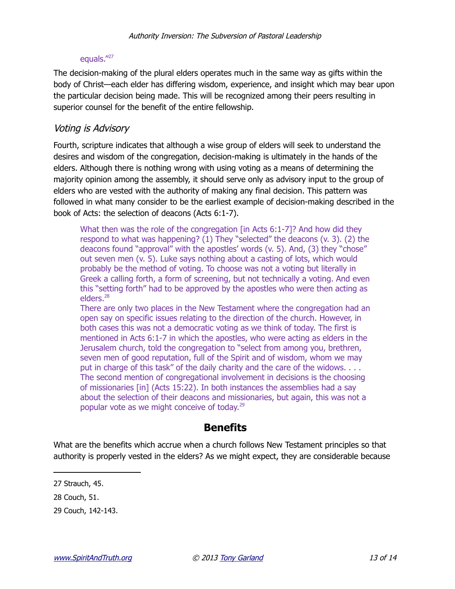#### equals."[27](#page-12-0)

The decision-making of the plural elders operates much in the same way as gifts within the body of Christ—each elder has differing wisdom, experience, and insight which may bear upon the particular decision being made. This will be recognized among their peers resulting in superior counsel for the benefit of the entire fellowship.

## Voting is Advisory

Fourth, scripture indicates that although a wise group of elders will seek to understand the desires and wisdom of the congregation, decision-making is ultimately in the hands of the elders. Although there is nothing wrong with using voting as a means of determining the majority opinion among the assembly, it should serve only as advisory input to the group of elders who are vested with the authority of making any final decision. This pattern was followed in what many consider to be the earliest example of decision-making described in the book of Acts: the selection of deacons (Acts 6:1-7).

What then was the role of the congregation [in Acts 6:1-7]? And how did they respond to what was happening? (1) They "selected" the deacons (v. 3). (2) the deacons found "approval" with the apostles' words (v. 5). And, (3) they "chose" out seven men (v. 5). Luke says nothing about a casting of lots, which would probably be the method of voting. To choose was not a voting but literally in Greek a calling forth, a form of screening, but not technically a voting. And even this "setting forth" had to be approved by the apostles who were then acting as elders.<sup>[28](#page-12-1)</sup>

There are only two places in the New Testament where the congregation had an open say on specific issues relating to the direction of the church. However, in both cases this was not a democratic voting as we think of today. The first is mentioned in Acts 6:1-7 in which the apostles, who were acting as elders in the Jerusalem church, told the congregation to "select from among you, brethren, seven men of good reputation, full of the Spirit and of wisdom, whom we may put in charge of this task" of the daily charity and the care of the widows. . . . The second mention of congregational involvement in decisions is the choosing of missionaries [in] (Acts 15:22). In both instances the assemblies had a say about the selection of their deacons and missionaries, but again, this was not a popular vote as we might conceive of today.<sup>[29](#page-12-2)</sup>

# **Benefits**

What are the benefits which accrue when a church follows New Testament principles so that authority is properly vested in the elders? As we might expect, they are considerable because

<span id="page-12-0"></span><sup>27</sup> Strauch, 45.

<span id="page-12-1"></span><sup>28</sup> Couch, 51.

<span id="page-12-2"></span><sup>29</sup> Couch, 142-143.